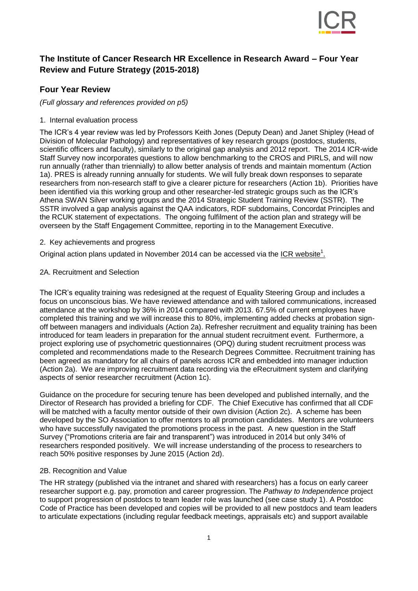

# **The Institute of Cancer Research HR Excellence in Research Award – Four Year Review and Future Strategy (2015-2018)**

# **Four Year Review**

*(Full glossary and references provided on p5)*

1. Internal evaluation process

The ICR's 4 year review was led by Professors Keith Jones (Deputy Dean) and Janet Shipley (Head of Division of Molecular Pathology) and representatives of key research groups (postdocs, students, scientific officers and faculty), similarly to the original gap analysis and 2012 report. The 2014 ICR-wide Staff Survey now incorporates questions to allow benchmarking to the CROS and PIRLS, and will now run annually (rather than triennially) to allow better analysis of trends and maintain momentum (Action 1a). PRES is already running annually for students. We will fully break down responses to separate researchers from non-research staff to give a clearer picture for researchers (Action 1b). Priorities have been identified via this working group and other researcher-led strategic groups such as the ICR's Athena SWAN Silver working groups and the 2014 Strategic Student Training Review (SSTR). The SSTR involved a gap analysis against the QAA indicators, RDF subdomains, Concordat Principles and the RCUK statement of expectations. The ongoing fulfilment of the action plan and strategy will be overseen by the Staff Engagement Committee, reporting in to the Management Executive.

2. Key achievements and progress

Original action plans updated in November 2014 can be accessed via the [ICR website](http://www.icr.ac.uk/about-us/responsibility/hr-excellence-in-research)<sup>1</sup>.

## 2A. Recruitment and Selection

The ICR's equality training was redesigned at the request of Equality Steering Group and includes a focus on unconscious bias. We have reviewed attendance and with tailored communications, increased attendance at the workshop by 36% in 2014 compared with 2013. 67.5% of current employees have completed this training and we will increase this to 80%, implementing added checks at probation signoff between managers and individuals (Action 2a). Refresher recruitment and equality training has been introduced for team leaders in preparation for the annual student recruitment event. Furthermore, a project exploring use of psychometric questionnaires (OPQ) during student recruitment process was completed and recommendations made to the Research Degrees Committee. Recruitment training has been agreed as mandatory for all chairs of panels across ICR and embedded into manager induction (Action 2a). We are improving recruitment data recording via the eRecruitment system and clarifying aspects of senior researcher recruitment (Action 1c).

Guidance on the procedure for securing tenure has been developed and published internally, and the Director of Research has provided a briefing for CDF. The Chief Executive has confirmed that all CDF will be matched with a faculty mentor outside of their own division (Action 2c). A scheme has been developed by the SO Association to offer mentors to all promotion candidates. Mentors are volunteers who have successfully navigated the promotions process in the past. A new question in the Staff Survey ("Promotions criteria are fair and transparent") was introduced in 2014 but only 34% of researchers responded positively. We will increase understanding of the process to researchers to reach 50% positive responses by June 2015 (Action 2d).

### 2B. Recognition and Value

The HR strategy (published via the intranet and shared with researchers) has a focus on early career researcher support e.g. pay, promotion and career progression. The *Pathway to Independence* project to support progression of postdocs to team leader role was launched (see case study 1). A Postdoc Code of Practice has been developed and copies will be provided to all new postdocs and team leaders to articulate expectations (including regular feedback meetings, appraisals etc) and support available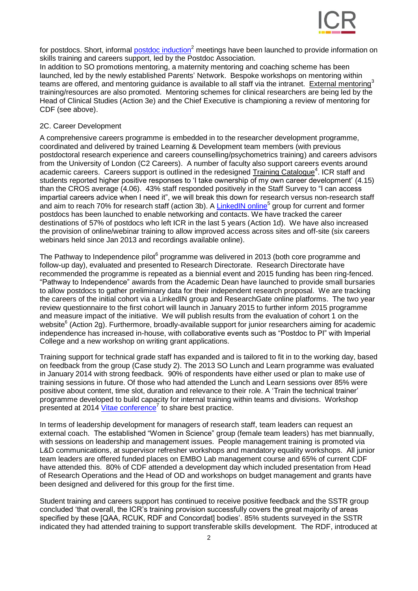

for postdocs. Short, informal [postdoc induction](http://training.icr.ac.uk/coursed.php?course=512)<sup>2</sup> meetings have been launched to provide information on skills training and careers support, led by the Postdoc Association.

In addition to SO promotions mentoring, a maternity mentoring and coaching scheme has been launched, led by the newly established Parents' Network. Bespoke workshops on mentoring within teams are offered, and mentoring guidance is available to all staff via the intranet. [External mentoring](http://www.acmedsci.ac.uk/careers/mentoring-and-careers/mentoring/)<sup>3</sup> training/resources are also promoted. Mentoring schemes for clinical researchers are being led by the Head of Clinical Studies (Action 3e) and the Chief Executive is championing a review of mentoring for CDF (see above).

#### 2C. Career Development

A comprehensive careers programme is embedded in to the researcher development programme, coordinated and delivered by trained Learning & Development team members (with previous postdoctoral research experience and careers counselling/psychometrics training) and careers advisors from the University of London (C2 Careers). A number of faculty also support careers events around academic careers. Careers support is outlined in the redesigned [Training Catalogue](http://training.icr.ac.uk/icr-landd-p4p-rgb.pdf)<sup>4</sup>. ICR staff and students reported higher positive responses to 'I take ownership of my own career development' (4.15) than the CROS average (4.06). 43% staff responded positively in the Staff Survey to "I can access impartial careers advice when I need it", we will break this down for research versus non-research staff and aim to reach 70% for research staff (action 3b). A [LinkedIN online](https://www.linkedin.com/groups?mostRecent=&gid=7424326&trk=my_groups-tile-flipgrp)<sup>5</sup> group for current and former postdocs has been launched to enable networking and contacts. We have tracked the career destinations of 57% of postdocs who left ICR in the last 5 years (Action 1d). We have also increased the provision of online/webinar training to allow improved access across sites and off-site (six careers webinars held since Jan 2013 and recordings available online).

The Pathway to Independence pilot $^6$  programme was delivered in 2013 (both core programme and follow-up day), evaluated and presented to Research Directorate. Research Directorate have recommended the programme is repeated as a biennial event and 2015 funding has been ring-fenced. "Pathway to Independence" awards from the Academic Dean have launched to provide small bursaries to allow postdocs to gather preliminary data for their independent research proposal. We are tracking the careers of the initial cohort via a LinkedIN group and ResearchGate online platforms. The two year review questionnaire to the first cohort will launch in January 2015 to further inform 2015 programme and measure impact of the initiative. We will publish results from the evaluation of cohort 1 on the website<sup>6</sup> (Action 2g). Furthermore, broadly-available support for junior researchers aiming for academic independence has increased in-house, with collaborative events such as "Postdoc to PI" with Imperial College and a new workshop on writing grant applications.

Training support for technical grade staff has expanded and is tailored to fit in to the working day, based on feedback from the group (Case study 2). The 2013 SO Lunch and Learn programme was evaluated in January 2014 with strong feedback. 90% of respondents have either used or plan to make use of training sessions in future. Of those who had attended the Lunch and Learn sessions over 85% were positive about content, time slot, duration and relevance to their role. A 'Train the technical trainer' programme developed to build capacity for internal training within teams and divisions. Workshop presented at 2014 [Vitae conference](https://www.vitae.ac.uk/events/vitae-researcher-development-international-conference-2014/workshops/copy31_of_so-youre-new-to-uk-higher-education-institutions)<sup>7</sup> to share best practice.

In terms of leadership development for managers of research staff, team leaders can request an external coach. The established "Women in Science" group (female team leaders) has met biannually, with sessions on leadership and management issues. People management training is promoted via L&D communications, at supervisor refresher workshops and mandatory equality workshops. All junior team leaders are offered funded places on EMBO Lab management course and 65% of current CDF have attended this. 80% of CDF attended a development day which included presentation from Head of Research Operations and the Head of OD and workshops on budget management and grants have been designed and delivered for this group for the first time.

Student training and careers support has continued to receive positive feedback and the SSTR group concluded 'that overall, the ICR's training provision successfully covers the great majority of areas specified by these [QAA, RCUK, RDF and Concordat] bodies', 85% students surveyed in the SSTR indicated they had attended training to support transferable skills development. The RDF, introduced at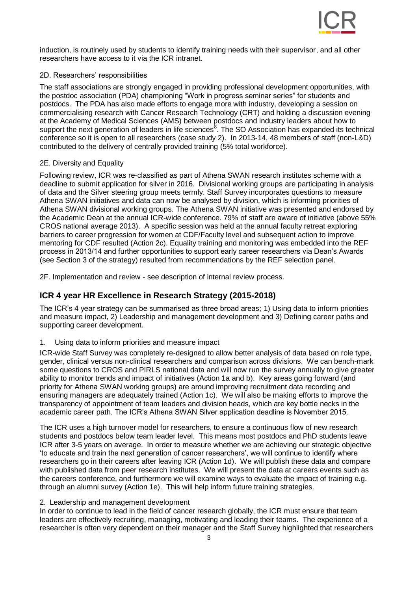

induction, is routinely used by students to identify training needs with their supervisor, and all other researchers have access to it via the ICR intranet.

### 2D. Researchers' responsibilities

The staff associations are strongly engaged in providing professional development opportunities, with the postdoc association (PDA) championing "Work in progress seminar series" for students and postdocs. The PDA has also made efforts to engage more with industry, developing a session on commercialising research with Cancer Research Technology (CRT) and holding a discussion evening at the Academy of Medical Sciences (AMS) between postdocs and industry leaders about how to support the next generation of leaders in life sciences<sup>8</sup>. The SO Association has expanded its technical conference so it is open to all researchers (case study 2). In 2013-14, 48 members of staff (non-L&D) contributed to the delivery of centrally provided training (5% total workforce).

## 2E. Diversity and Equality

Following review, ICR was re-classified as part of Athena SWAN research institutes scheme with a deadline to submit application for silver in 2016. Divisional working groups are participating in analysis of data and the Silver steering group meets termly. Staff Survey incorporates questions to measure Athena SWAN initiatives and data can now be analysed by division, which is informing priorities of Athena SWAN divisional working groups. The Athena SWAN initiative was presented and endorsed by the Academic Dean at the annual ICR-wide conference. 79% of staff are aware of initiative (above 55% CROS national average 2013). A specific session was held at the annual faculty retreat exploring barriers to career progression for women at CDF/Faculty level and subsequent action to improve mentoring for CDF resulted (Action 2c). Equality training and monitoring was embedded into the REF process in 2013/14 and further opportunities to support early career researchers via Dean's Awards (see Section 3 of the strategy) resulted from recommendations by the REF selection panel.

2F. Implementation and review - see description of internal review process.

# **ICR 4 year HR Excellence in Research Strategy (2015-2018)**

The ICR's 4 year strategy can be summarised as three broad areas; 1) Using data to inform priorities and measure impact, 2) Leadership and management development and 3) Defining career paths and supporting career development.

1. Using data to inform priorities and measure impact

ICR-wide Staff Survey was completely re-designed to allow better analysis of data based on role type, gender, clinical versus non-clinical researchers and comparison across divisions. We can bench-mark some questions to CROS and PIRLS national data and will now run the survey annually to give greater ability to monitor trends and impact of initiatives (Action 1a and b). Key areas going forward (and priority for Athena SWAN working groups) are around improving recruitment data recording and ensuring managers are adequately trained (Action 1c). We will also be making efforts to improve the transparency of appointment of team leaders and division heads, which are key bottle necks in the academic career path. The ICR's Athena SWAN Silver application deadline is November 2015.

The ICR uses a high turnover model for researchers, to ensure a continuous flow of new research students and postdocs below team leader level. This means most postdocs and PhD students leave ICR after 3-5 years on average. In order to measure whether we are achieving our strategic objective 'to educate and train the next generation of cancer researchers', we will continue to identify where researchers go in their careers after leaving ICR (Action 1d). We will publish these data and compare with published data from peer research institutes. We will present the data at careers events such as the careers conference, and furthermore we will examine ways to evaluate the impact of training e.g. through an alumni survey (Action 1e). This will help inform future training strategies.

### 2. Leadership and management development

In order to continue to lead in the field of cancer research globally, the ICR must ensure that team leaders are effectively recruiting, managing, motivating and leading their teams. The experience of a researcher is often very dependent on their manager and the Staff Survey highlighted that researchers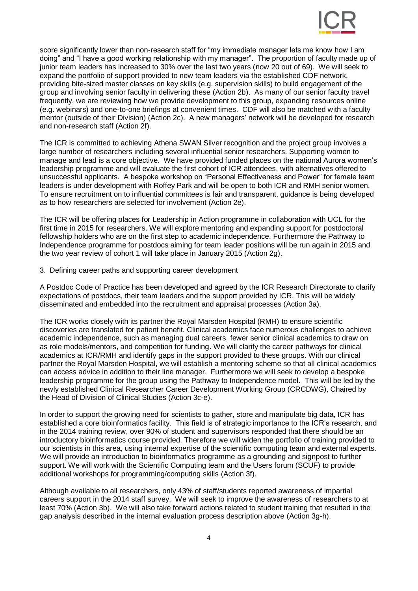

score significantly lower than non-research staff for "my immediate manager lets me know how I am doing" and "I have a good working relationship with my manager". The proportion of faculty made up of junior team leaders has increased to 30% over the last two years (now 20 out of 69). We will seek to expand the portfolio of support provided to new team leaders via the established CDF network, providing bite-sized master classes on key skills (e.g. supervision skills) to build engagement of the group and involving senior faculty in delivering these (Action 2b). As many of our senior faculty travel frequently, we are reviewing how we provide development to this group, expanding resources online (e.g. webinars) and one-to-one briefings at convenient times. CDF will also be matched with a faculty mentor (outside of their Division) (Action 2c). A new managers' network will be developed for research and non-research staff (Action 2f).

The ICR is committed to achieving Athena SWAN Silver recognition and the project group involves a large number of researchers including several influential senior researchers. Supporting women to manage and lead is a core objective. We have provided funded places on the national Aurora women's leadership programme and will evaluate the first cohort of ICR attendees, with alternatives offered to unsuccessful applicants. A bespoke workshop on "Personal Effectiveness and Power" for female team leaders is under development with Roffey Park and will be open to both ICR and RMH senior women. To ensure recruitment on to influential committees is fair and transparent, guidance is being developed as to how researchers are selected for involvement (Action 2e).

The ICR will be offering places for Leadership in Action programme in collaboration with UCL for the first time in 2015 for researchers. We will explore mentoring and expanding support for postdoctoral fellowship holders who are on the first step to academic independence. Furthermore the Pathway to Independence programme for postdocs aiming for team leader positions will be run again in 2015 and the two year review of cohort 1 will take place in January 2015 (Action 2g).

#### 3. Defining career paths and supporting career development

A Postdoc Code of Practice has been developed and agreed by the ICR Research Directorate to clarify expectations of postdocs, their team leaders and the support provided by ICR. This will be widely disseminated and embedded into the recruitment and appraisal processes (Action 3a).

The ICR works closely with its partner the Royal Marsden Hospital (RMH) to ensure scientific discoveries are translated for patient benefit. Clinical academics face numerous challenges to achieve academic independence, such as managing dual careers, fewer senior clinical academics to draw on as role models/mentors, and competition for funding. We will clarify the career pathways for clinical academics at ICR/RMH and identify gaps in the support provided to these groups. With our clinical partner the Royal Marsden Hospital, we will establish a mentoring scheme so that all clinical academics can access advice in addition to their line manager. Furthermore we will seek to develop a bespoke leadership programme for the group using the Pathway to Independence model. This will be led by the newly established Clinical Researcher Career Development Working Group (CRCDWG), Chaired by the Head of Division of Clinical Studies (Action 3c-e).

In order to support the growing need for scientists to gather, store and manipulate big data, ICR has established a core bioinformatics facility. This field is of strategic importance to the ICR's research, and in the 2014 training review, over 90% of student and supervisors responded that there should be an introductory bioinformatics course provided. Therefore we will widen the portfolio of training provided to our scientists in this area, using internal expertise of the scientific computing team and external experts. We will provide an introduction to bioinformatics programme as a grounding and signpost to further support. We will work with the Scientific Computing team and the Users forum (SCUF) to provide additional workshops for programming/computing skills (Action 3f).

Although available to all researchers, only 43% of staff/students reported awareness of impartial careers support in the 2014 staff survey. We will seek to improve the awareness of researchers to at least 70% (Action 3b). We will also take forward actions related to student training that resulted in the gap analysis described in the internal evaluation process description above (Action 3g-h).